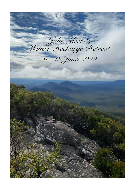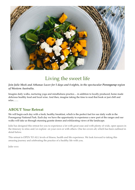

# Living the sweet life

#### *Join Julie Meek and Athanae Lucev for 5 days and 4 nights, in the spectacular Porongurup region of Western Australia.*

Imagine daily walks, nurturing yoga and mindfulness practice.... in addition to locally produced, home made delicious healthy food and local wine. And then, imagine taking the time to read that book or just chill and relax……

### **ABOUT Your Retreat**

We will begin each day with a fresh, healthy breakfast, which is the perfect fuel for our daily walk in the Porongurup National Park. Each day we have the opportunity to experience a new part of the ranges and our walks will take us through stunning granite domes and exhilarating views of the landscape.

Julie has designed this retreat for you to experience a lot with great ease and with plenty of wide, open spaces in the itinerary to relax and/or explore on your own or with others. One fee covers all, which has been outlined in detail below.

This retreat is OPEN TO ALL levels of fitness, health and life experience. We look forward to taking this amazing journey and celebrating the practice of a healthy life with you.

Julie xxxx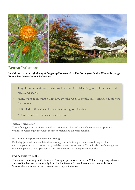

### **Retreat Inclusions**

**In addition to our magical stay at Bolganup Homestead in The Porongarup's, this Winter Recharge Retreat has these fabulous inclusions:** 

- ‣ 4 nights accommodation (including linen and towels) at Bolganup Homestead + all meals and snacks
- $\blacktriangleright$  Home made food created with love by Julie Meek (3 meals/day + snacks + local wine for dinner)
- ‣ Unlimited fruit, water, coffee and tea throughout the day
- ‣ Activities and excursions as listed below

#### **YOGA + meditation**

Through yoga + meditation you will experience an elevated state of creativity and physical vitality to better enjoy the Great Southern region and all of its delights.

#### **NUTRITION + performance + well-being**

Each day, Julie will share a bite sized strategy or tactic that you can weave into your life, to enhance your personal productivity, well-being and performance. You will also be able to gather many recipe ideas and tips as Julie prepares the food. All recipes are provided.

#### **PORONGURUP Walks**

The massive ancient granite domes of Porongurup National Park rise 670 metres, giving extensive views of the landscape, especially from the the Granite Skywalk suspended on Castle Rock. Spectacular walks are ours to discover each day at the retreat.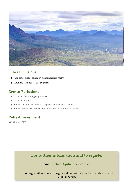

### **Other Inclusions**

- ‣ Use of the WIFI although please note it is patchy
- ‣ Laundry facilities for use by guests

### **Retreat Exclusions**

- ‣ Travel to the Porongarup Ranges
- ‣ Travel insurance
- ‣ Other personal travel related expenses outside of the retreat
- ‣ Other optional excursions or activities not included in the retreat

### **Retreat Investment**

\$1299 inc. GST

## **For further information and to register**

### **email: [retreat@juliemeek.com.au](mailto:retreat@juliemeek.com.au?subject=)**

Upon registration, you will be given all retreat information, packing list and a full itinerary.